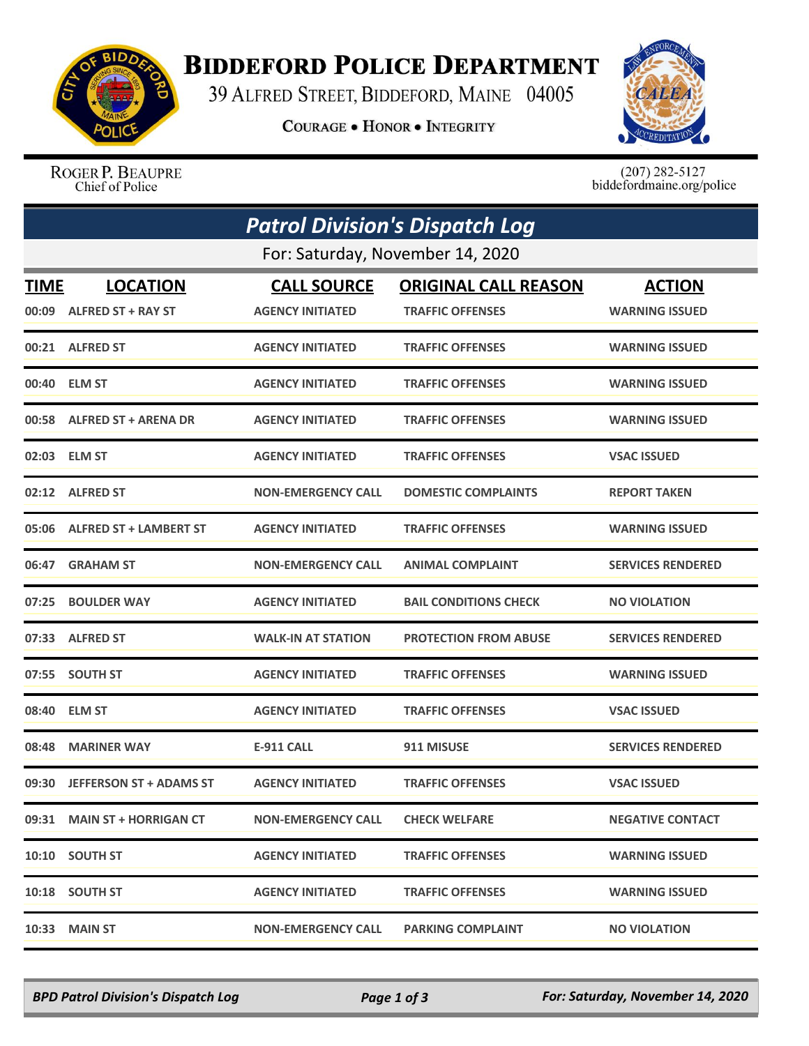

## **BIDDEFORD POLICE DEPARTMENT**

39 ALFRED STREET, BIDDEFORD, MAINE 04005

**COURAGE . HONOR . INTEGRITY** 



ROGER P. BEAUPRE Chief of Police

 $(207)$  282-5127<br>biddefordmaine.org/police

| <b>Patrol Division's Dispatch Log</b> |                                  |                           |                              |                          |  |  |  |
|---------------------------------------|----------------------------------|---------------------------|------------------------------|--------------------------|--|--|--|
|                                       | For: Saturday, November 14, 2020 |                           |                              |                          |  |  |  |
| <b>TIME</b>                           | <b>LOCATION</b>                  | <b>CALL SOURCE</b>        | <b>ORIGINAL CALL REASON</b>  | <b>ACTION</b>            |  |  |  |
|                                       | 00:09 ALFRED ST + RAY ST         | <b>AGENCY INITIATED</b>   | <b>TRAFFIC OFFENSES</b>      | <b>WARNING ISSUED</b>    |  |  |  |
|                                       | 00:21 ALFRED ST                  | <b>AGENCY INITIATED</b>   | <b>TRAFFIC OFFENSES</b>      | <b>WARNING ISSUED</b>    |  |  |  |
|                                       | 00:40 ELM ST                     | <b>AGENCY INITIATED</b>   | <b>TRAFFIC OFFENSES</b>      | <b>WARNING ISSUED</b>    |  |  |  |
|                                       | 00:58 ALFRED ST + ARENA DR       | <b>AGENCY INITIATED</b>   | <b>TRAFFIC OFFENSES</b>      | <b>WARNING ISSUED</b>    |  |  |  |
|                                       | 02:03 ELM ST                     | <b>AGENCY INITIATED</b>   | <b>TRAFFIC OFFENSES</b>      | <b>VSAC ISSUED</b>       |  |  |  |
|                                       | 02:12 ALFRED ST                  | <b>NON-EMERGENCY CALL</b> | <b>DOMESTIC COMPLAINTS</b>   | <b>REPORT TAKEN</b>      |  |  |  |
|                                       | 05:06 ALFRED ST + LAMBERT ST     | <b>AGENCY INITIATED</b>   | <b>TRAFFIC OFFENSES</b>      | <b>WARNING ISSUED</b>    |  |  |  |
| 06:47                                 | <b>GRAHAM ST</b>                 | <b>NON-EMERGENCY CALL</b> | <b>ANIMAL COMPLAINT</b>      | <b>SERVICES RENDERED</b> |  |  |  |
| 07:25                                 | <b>BOULDER WAY</b>               | <b>AGENCY INITIATED</b>   | <b>BAIL CONDITIONS CHECK</b> | <b>NO VIOLATION</b>      |  |  |  |
|                                       | 07:33 ALFRED ST                  | <b>WALK-IN AT STATION</b> | <b>PROTECTION FROM ABUSE</b> | <b>SERVICES RENDERED</b> |  |  |  |
|                                       | 07:55 SOUTH ST                   | <b>AGENCY INITIATED</b>   | <b>TRAFFIC OFFENSES</b>      | <b>WARNING ISSUED</b>    |  |  |  |
| 08:40                                 | <b>ELM ST</b>                    | <b>AGENCY INITIATED</b>   | <b>TRAFFIC OFFENSES</b>      | <b>VSAC ISSUED</b>       |  |  |  |
| 08:48                                 | <b>MARINER WAY</b>               | E-911 CALL                | 911 MISUSE                   | <b>SERVICES RENDERED</b> |  |  |  |
|                                       | 09:30 JEFFERSON ST + ADAMS ST    | <b>AGENCY INITIATED</b>   | <b>TRAFFIC OFFENSES</b>      | <b>VSAC ISSUED</b>       |  |  |  |
|                                       | 09:31 MAIN ST + HORRIGAN CT      | <b>NON-EMERGENCY CALL</b> | <b>CHECK WELFARE</b>         | <b>NEGATIVE CONTACT</b>  |  |  |  |
|                                       | 10:10 SOUTH ST                   | <b>AGENCY INITIATED</b>   | <b>TRAFFIC OFFENSES</b>      | <b>WARNING ISSUED</b>    |  |  |  |
|                                       | 10:18 SOUTH ST                   | <b>AGENCY INITIATED</b>   | <b>TRAFFIC OFFENSES</b>      | <b>WARNING ISSUED</b>    |  |  |  |
| 10:33                                 | <b>MAIN ST</b>                   | <b>NON-EMERGENCY CALL</b> | <b>PARKING COMPLAINT</b>     | <b>NO VIOLATION</b>      |  |  |  |

*BPD Patrol Division's Dispatch Log Page 1 of 3 For: Saturday, November 14, 2020*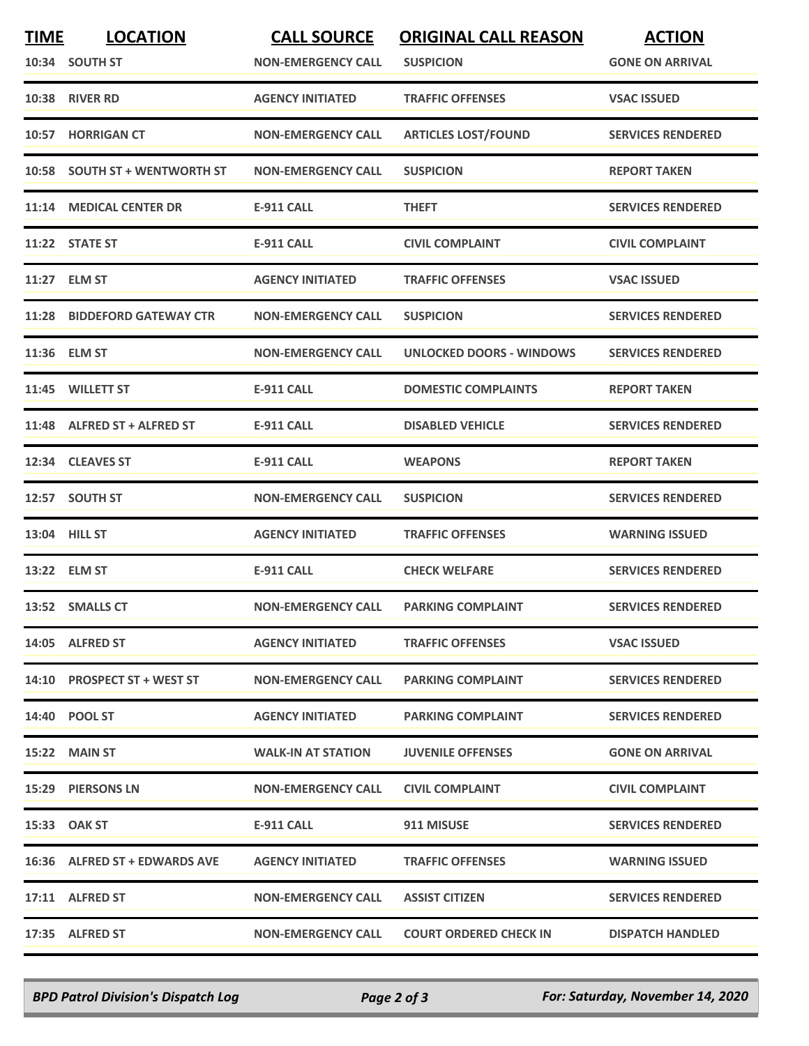| <b>TIME</b> | <b>LOCATION</b><br>10:34 SOUTH ST | <b>CALL SOURCE</b><br><b>NON-EMERGENCY CALL</b> | <b>ORIGINAL CALL REASON</b><br><b>SUSPICION</b> | <b>ACTION</b><br><b>GONE ON ARRIVAL</b> |
|-------------|-----------------------------------|-------------------------------------------------|-------------------------------------------------|-----------------------------------------|
|             | 10:38 RIVER RD                    | <b>AGENCY INITIATED</b>                         | <b>TRAFFIC OFFENSES</b>                         | <b>VSAC ISSUED</b>                      |
|             | 10:57 HORRIGAN CT                 | <b>NON-EMERGENCY CALL</b>                       | <b>ARTICLES LOST/FOUND</b>                      | <b>SERVICES RENDERED</b>                |
|             | 10:58 SOUTH ST + WENTWORTH ST     | <b>NON-EMERGENCY CALL</b>                       | <b>SUSPICION</b>                                | <b>REPORT TAKEN</b>                     |
|             | 11:14 MEDICAL CENTER DR           | <b>E-911 CALL</b>                               | <b>THEFT</b>                                    | <b>SERVICES RENDERED</b>                |
|             | 11:22 STATE ST                    | <b>E-911 CALL</b>                               | <b>CIVIL COMPLAINT</b>                          | <b>CIVIL COMPLAINT</b>                  |
|             | 11:27 ELM ST                      | <b>AGENCY INITIATED</b>                         | <b>TRAFFIC OFFENSES</b>                         | <b>VSAC ISSUED</b>                      |
|             | 11:28 BIDDEFORD GATEWAY CTR       | <b>NON-EMERGENCY CALL</b>                       | <b>SUSPICION</b>                                | <b>SERVICES RENDERED</b>                |
|             | 11:36 ELM ST                      | <b>NON-EMERGENCY CALL</b>                       | <b>UNLOCKED DOORS - WINDOWS</b>                 | <b>SERVICES RENDERED</b>                |
|             | 11:45 WILLETT ST                  | <b>E-911 CALL</b>                               | <b>DOMESTIC COMPLAINTS</b>                      | <b>REPORT TAKEN</b>                     |
|             | 11:48 ALFRED ST + ALFRED ST       | E-911 CALL                                      | <b>DISABLED VEHICLE</b>                         | <b>SERVICES RENDERED</b>                |
|             | 12:34 CLEAVES ST                  | <b>E-911 CALL</b>                               | <b>WEAPONS</b>                                  | <b>REPORT TAKEN</b>                     |
|             | 12:57 SOUTH ST                    | <b>NON-EMERGENCY CALL</b>                       | <b>SUSPICION</b>                                | <b>SERVICES RENDERED</b>                |
|             | 13:04 HILL ST                     | <b>AGENCY INITIATED</b>                         | <b>TRAFFIC OFFENSES</b>                         | <b>WARNING ISSUED</b>                   |
|             | 13:22 ELM ST                      | <b>E-911 CALL</b>                               | <b>CHECK WELFARE</b>                            | <b>SERVICES RENDERED</b>                |
|             | 13:52 SMALLS CT                   | <b>NON-EMERGENCY CALL</b>                       | <b>PARKING COMPLAINT</b>                        | <b>SERVICES RENDERED</b>                |
|             | 14:05 ALFRED ST                   | <b>AGENCY INITIATED</b>                         | <b>TRAFFIC OFFENSES</b>                         | <b>VSAC ISSUED</b>                      |
|             | 14:10 PROSPECT ST + WEST ST       | <b>NON-EMERGENCY CALL</b>                       | <b>PARKING COMPLAINT</b>                        | <b>SERVICES RENDERED</b>                |
|             | 14:40 POOL ST                     | <b>AGENCY INITIATED</b>                         | <b>PARKING COMPLAINT</b>                        | <b>SERVICES RENDERED</b>                |
|             | 15:22 MAIN ST                     | <b>WALK-IN AT STATION</b>                       | <b>JUVENILE OFFENSES</b>                        | <b>GONE ON ARRIVAL</b>                  |
|             | 15:29 PIERSONS LN                 | <b>NON-EMERGENCY CALL</b>                       | <b>CIVIL COMPLAINT</b>                          | <b>CIVIL COMPLAINT</b>                  |
|             | 15:33 OAK ST                      | E-911 CALL                                      | 911 MISUSE                                      | <b>SERVICES RENDERED</b>                |
|             | 16:36 ALFRED ST + EDWARDS AVE     | <b>AGENCY INITIATED</b>                         | <b>TRAFFIC OFFENSES</b>                         | <b>WARNING ISSUED</b>                   |
|             | 17:11 ALFRED ST                   | <b>NON-EMERGENCY CALL</b>                       | <b>ASSIST CITIZEN</b>                           | <b>SERVICES RENDERED</b>                |
|             | 17:35 ALFRED ST                   | <b>NON-EMERGENCY CALL</b>                       | <b>COURT ORDERED CHECK IN</b>                   | <b>DISPATCH HANDLED</b>                 |

*BPD Patrol Division's Dispatch Log Page 2 of 3 For: Saturday, November 14, 2020*